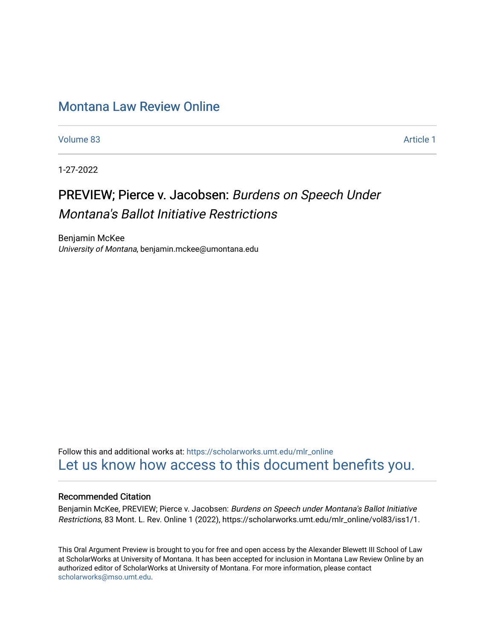# [Montana Law Review Online](https://scholarworks.umt.edu/mlr_online)

[Volume 83](https://scholarworks.umt.edu/mlr_online/vol83) [Article 1](https://scholarworks.umt.edu/mlr_online/vol83/iss1/1) 

1-27-2022

# PREVIEW; Pierce v. Jacobsen: Burdens on Speech Under Montana's Ballot Initiative Restrictions

Benjamin McKee University of Montana, benjamin.mckee@umontana.edu

Follow this and additional works at: [https://scholarworks.umt.edu/mlr\\_online](https://scholarworks.umt.edu/mlr_online?utm_source=scholarworks.umt.edu%2Fmlr_online%2Fvol83%2Fiss1%2F1&utm_medium=PDF&utm_campaign=PDFCoverPages) [Let us know how access to this document benefits you.](https://goo.gl/forms/s2rGfXOLzz71qgsB2) 

#### Recommended Citation

Benjamin McKee, PREVIEW; Pierce v. Jacobsen: Burdens on Speech under Montana's Ballot Initiative Restrictions, 83 Mont. L. Rev. Online 1 (2022), https://scholarworks.umt.edu/mlr\_online/vol83/iss1/1.

This Oral Argument Preview is brought to you for free and open access by the Alexander Blewett III School of Law at ScholarWorks at University of Montana. It has been accepted for inclusion in Montana Law Review Online by an authorized editor of ScholarWorks at University of Montana. For more information, please contact [scholarworks@mso.umt.edu.](mailto:scholarworks@mso.umt.edu)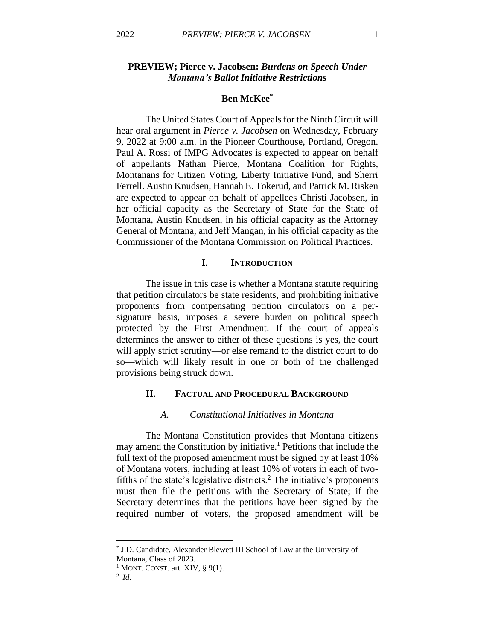# **PREVIEW; Pierce v. Jacobsen:** *Burdens on Speech Under Montana's Ballot Initiative Restrictions*

# **Ben McKee\***

The United States Court of Appeals for the Ninth Circuit will hear oral argument in *Pierce v. Jacobsen* on Wednesday, February 9, 2022 at 9:00 a.m. in the Pioneer Courthouse, Portland, Oregon. Paul A. Rossi of IMPG Advocates is expected to appear on behalf of appellants Nathan Pierce, Montana Coalition for Rights, Montanans for Citizen Voting, Liberty Initiative Fund, and Sherri Ferrell. Austin Knudsen, Hannah E. Tokerud, and Patrick M. Risken are expected to appear on behalf of appellees Christi Jacobsen, in her official capacity as the Secretary of State for the State of Montana, Austin Knudsen, in his official capacity as the Attorney General of Montana, and Jeff Mangan, in his official capacity as the Commissioner of the Montana Commission on Political Practices.

# **I. INTRODUCTION**

The issue in this case is whether a Montana statute requiring that petition circulators be state residents, and prohibiting initiative proponents from compensating petition circulators on a persignature basis, imposes a severe burden on political speech protected by the First Amendment. If the court of appeals determines the answer to either of these questions is yes, the court will apply strict scrutiny—or else remand to the district court to do so—which will likely result in one or both of the challenged provisions being struck down.

# **II. FACTUAL AND PROCEDURAL BACKGROUND**

# *A. Constitutional Initiatives in Montana*

The Montana Constitution provides that Montana citizens may amend the Constitution by initiative.<sup>1</sup> Petitions that include the full text of the proposed amendment must be signed by at least 10% of Montana voters, including at least 10% of voters in each of twofifths of the state's legislative districts.<sup>2</sup> The initiative's proponents must then file the petitions with the Secretary of State; if the Secretary determines that the petitions have been signed by the required number of voters, the proposed amendment will be

<sup>\*</sup> J.D. Candidate, Alexander Blewett III School of Law at the University of Montana, Class of 2023.

 $1$  MONT. CONST. art. XIV, § 9(1).

<sup>2</sup> *Id.*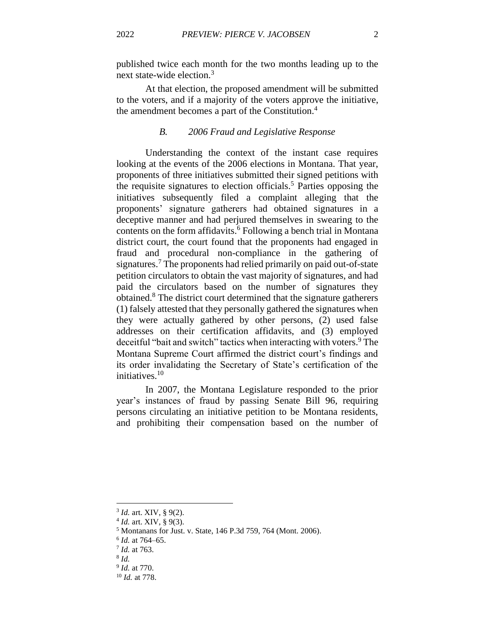published twice each month for the two months leading up to the next state-wide election.<sup>3</sup>

At that election, the proposed amendment will be submitted to the voters, and if a majority of the voters approve the initiative, the amendment becomes a part of the Constitution. 4

#### *B. 2006 Fraud and Legislative Response*

Understanding the context of the instant case requires looking at the events of the 2006 elections in Montana. That year, proponents of three initiatives submitted their signed petitions with the requisite signatures to election officials. <sup>5</sup> Parties opposing the initiatives subsequently filed a complaint alleging that the proponents' signature gatherers had obtained signatures in a deceptive manner and had perjured themselves in swearing to the contents on the form affidavits.<sup>6</sup> Following a bench trial in Montana district court, the court found that the proponents had engaged in fraud and procedural non-compliance in the gathering of signatures.<sup>7</sup> The proponents had relied primarily on paid out-of-state petition circulators to obtain the vast majority of signatures, and had paid the circulators based on the number of signatures they obtained. <sup>8</sup> The district court determined that the signature gatherers (1) falsely attested that they personally gathered the signatures when they were actually gathered by other persons, (2) used false addresses on their certification affidavits, and (3) employed deceitful "bait and switch" tactics when interacting with voters. <sup>9</sup> The Montana Supreme Court affirmed the district court's findings and its order invalidating the Secretary of State's certification of the initiatives.<sup>10</sup>

In 2007, the Montana Legislature responded to the prior year's instances of fraud by passing Senate Bill 96, requiring persons circulating an initiative petition to be Montana residents, and prohibiting their compensation based on the number of

<sup>3</sup> *Id.* art. XIV, § 9(2).

<sup>4</sup> *Id.* art. XIV, § 9(3).

<sup>5</sup> Montanans for Just. v. State, 146 P.3d 759, 764 (Mont. 2006).

<sup>6</sup> *Id.* at 764–65.

<sup>7</sup> *Id.* at 763.

<sup>8</sup> *Id.*

<sup>9</sup> *Id.* at 770.

<sup>10</sup> *Id.* at 778.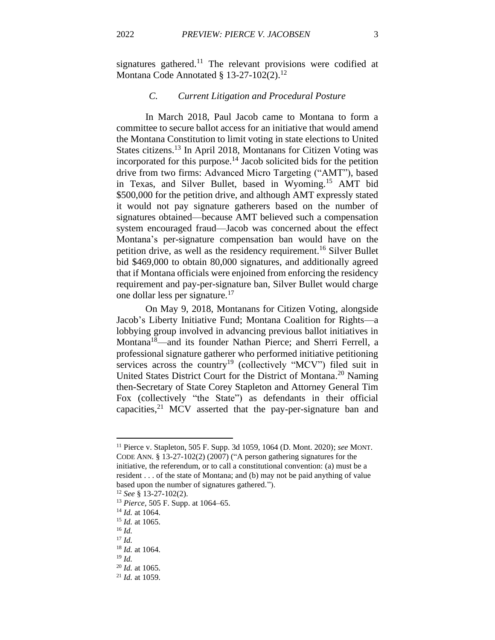signatures gathered.<sup>11</sup> The relevant provisions were codified at Montana Code Annotated §  $13-27-102(2).$ <sup>12</sup>

# *C. Current Litigation and Procedural Posture*

In March 2018, Paul Jacob came to Montana to form a committee to secure ballot access for an initiative that would amend the Montana Constitution to limit voting in state elections to United States citizens.<sup>13</sup> In April 2018, Montanans for Citizen Voting was incorporated for this purpose. <sup>14</sup> Jacob solicited bids for the petition drive from two firms: Advanced Micro Targeting ("AMT"), based in Texas, and Silver Bullet, based in Wyoming.<sup>15</sup> AMT bid \$500,000 for the petition drive, and although AMT expressly stated it would not pay signature gatherers based on the number of signatures obtained—because AMT believed such a compensation system encouraged fraud—Jacob was concerned about the effect Montana's per-signature compensation ban would have on the petition drive, as well as the residency requirement. <sup>16</sup> Silver Bullet bid \$469,000 to obtain 80,000 signatures, and additionally agreed that if Montana officials were enjoined from enforcing the residency requirement and pay-per-signature ban, Silver Bullet would charge one dollar less per signature.<sup>17</sup>

On May 9, 2018, Montanans for Citizen Voting, alongside Jacob's Liberty Initiative Fund; Montana Coalition for Rights—a lobbying group involved in advancing previous ballot initiatives in Montana<sup>18</sup>—and its founder Nathan Pierce; and Sherri Ferrell, a professional signature gatherer who performed initiative petitioning services across the country<sup>19</sup> (collectively "MCV") filed suit in United States District Court for the District of Montana.<sup>20</sup> Naming then-Secretary of State Corey Stapleton and Attorney General Tim Fox (collectively "the State") as defendants in their official capacities, $2<sup>1</sup>$  MCV asserted that the pay-per-signature ban and

<sup>11</sup> Pierce v. Stapleton, 505 F. Supp. 3d 1059, 1064 (D. Mont. 2020); *see* MONT. CODE ANN. § 13-27-102(2) (2007) ("A person gathering signatures for the initiative, the referendum, or to call a constitutional convention: (a) must be a resident . . . of the state of Montana; and (b) may not be paid anything of value based upon the number of signatures gathered.").

<sup>12</sup> *See* § 13-27-102(2).

<sup>13</sup> *Pierce*, 505 F. Supp. at 1064–65.

<sup>14</sup> *Id.* at 1064.

<sup>15</sup> *Id.* at 1065.

<sup>16</sup> *Id.*

<sup>17</sup> *Id.*

<sup>18</sup> *Id.* at 1064.

<sup>19</sup> *Id.*

<sup>20</sup> *Id.* at 1065.

<sup>21</sup> *Id.* at 1059.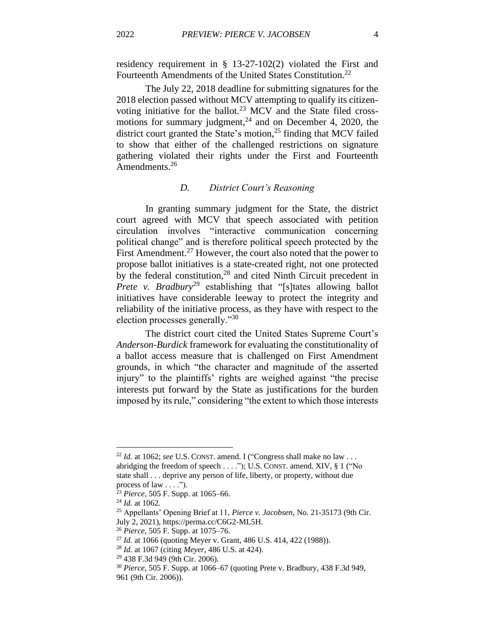residency requirement in § 13-27-102(2) violated the First and Fourteenth Amendments of the United States Constitution.<sup>22</sup>

The July 22, 2018 deadline for submitting signatures for the 2018 election passed without MCV attempting to qualify its citizenvoting initiative for the ballot.<sup>23</sup> MCV and the State filed crossmotions for summary judgment, $^{24}$  and on December 4, 2020, the district court granted the State's motion,<sup>25</sup> finding that MCV failed to show that either of the challenged restrictions on signature gathering violated their rights under the First and Fourteenth Amendments.<sup>26</sup>

#### *D. District Court's Reasoning*

In granting summary judgment for the State, the district court agreed with MCV that speech associated with petition circulation involves "interactive communication concerning political change" and is therefore political speech protected by the First Amendment.<sup>27</sup> However, the court also noted that the power to propose ballot initiatives is a state-created right, not one protected by the federal constitution,<sup>28</sup> and cited Ninth Circuit precedent in *Prete v. Bradbury*<sup>29</sup> establishing that "[s]tates allowing ballot initiatives have considerable leeway to protect the integrity and reliability of the initiative process, as they have with respect to the election processes generally."<sup>30</sup>

The district court cited the United States Supreme Court's *Anderson-Burdick* framework for evaluating the constitutionality of a ballot access measure that is challenged on First Amendment grounds, in which "the character and magnitude of the asserted injury" to the plaintiffs' rights are weighed against "the precise interests put forward by the State as justifications for the burden imposed by its rule," considering "the extent to which those interests

<sup>&</sup>lt;sup>22</sup> *Id.* at 1062; *see* U.S. CONST. amend. I ("Congress shall make no law ... abridging the freedom of speech . . . ."); U.S. CONST. amend. XIV, § 1 ("No state shall . . . deprive any person of life, liberty, or property, without due process of law . . . .").

<sup>23</sup> *Pierce*, 505 F. Supp. at 1065–66.

<sup>24</sup> *Id.* at 1062.

<sup>25</sup> Appellants' Opening Brief at 11, *Pierce v. Jacobsen*, No. 21-35173 (9th Cir. July 2, 2021), https://perma.cc/C6G2-ML5H.

<sup>26</sup> *Pierce*, 505 F. Supp. at 1075–76.

<sup>27</sup> *Id.* at 1066 (quoting Meyer v. Grant, 486 U.S. 414, 422 (1988)).

<sup>28</sup> *Id.* at 1067 (citing *Meyer*, 486 U.S. at 424).

<sup>29</sup> 438 F.3d 949 (9th Cir. 2006).

<sup>30</sup> *Pierce*, 505 F. Supp. at 1066–67 (quoting Prete v. Bradbury, 438 F.3d 949, 961 (9th Cir. 2006)).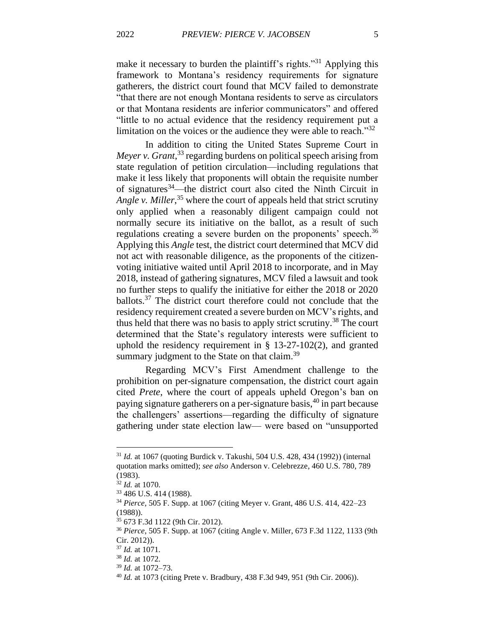make it necessary to burden the plaintiff's rights."<sup>31</sup> Applying this framework to Montana's residency requirements for signature gatherers, the district court found that MCV failed to demonstrate "that there are not enough Montana residents to serve as circulators or that Montana residents are inferior communicators" and offered "little to no actual evidence that the residency requirement put a limitation on the voices or the audience they were able to reach.<sup>332</sup>

In addition to citing the United States Supreme Court in *Meyer v. Grant*, <sup>33</sup> regarding burdens on political speech arising from state regulation of petition circulation—including regulations that make it less likely that proponents will obtain the requisite number of signatures<sup>34</sup>—the district court also cited the Ninth Circuit in *Angle v. Miller*, <sup>35</sup> where the court of appeals held that strict scrutiny only applied when a reasonably diligent campaign could not normally secure its initiative on the ballot, as a result of such regulations creating a severe burden on the proponents' speech.<sup>36</sup> Applying this *Angle* test, the district court determined that MCV did not act with reasonable diligence, as the proponents of the citizenvoting initiative waited until April 2018 to incorporate, and in May 2018, instead of gathering signatures, MCV filed a lawsuit and took no further steps to qualify the initiative for either the 2018 or 2020 ballots.<sup>37</sup> The district court therefore could not conclude that the residency requirement created a severe burden on MCV's rights, and thus held that there was no basis to apply strict scrutiny.<sup>38</sup> The court determined that the State's regulatory interests were sufficient to uphold the residency requirement in  $\S$  13-27-102(2), and granted summary judgment to the State on that claim.<sup>39</sup>

Regarding MCV's First Amendment challenge to the prohibition on per-signature compensation, the district court again cited *Prete*, where the court of appeals upheld Oregon's ban on paying signature gatherers on a per-signature basis,<sup>40</sup> in part because the challengers' assertions—regarding the difficulty of signature gathering under state election law— were based on "unsupported

<sup>31</sup> *Id.* at 1067 (quoting Burdick v. Takushi, 504 U.S. 428, 434 (1992)) (internal quotation marks omitted); *see also* Anderson v. Celebrezze, 460 U.S. 780, 789 (1983).

<sup>32</sup> *Id.* at 1070.

<sup>33</sup> 486 U.S. 414 (1988).

<sup>34</sup> *Pierce*, 505 F. Supp. at 1067 (citing Meyer v. Grant, 486 U.S. 414, 422–23 (1988)).

<sup>35</sup> 673 F.3d 1122 (9th Cir. 2012).

<sup>36</sup> *Pierce*, 505 F. Supp. at 1067 (citing Angle v. Miller, 673 F.3d 1122, 1133 (9th Cir. 2012)).

<sup>37</sup> *Id.* at 1071.

<sup>38</sup> *Id.* at 1072.

<sup>39</sup> *Id.* at 1072–73.

<sup>40</sup> *Id.* at 1073 (citing Prete v. Bradbury, 438 F.3d 949, 951 (9th Cir. 2006)).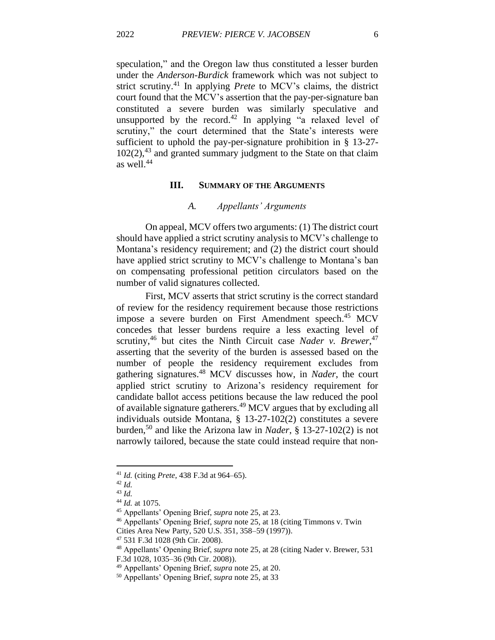speculation," and the Oregon law thus constituted a lesser burden under the *Anderson-Burdick* framework which was not subject to strict scrutiny.<sup>41</sup> In applying *Prete* to MCV's claims, the district court found that the MCV's assertion that the pay-per-signature ban constituted a severe burden was similarly speculative and unsupported by the record.<sup>42</sup> In applying "a relaxed level of scrutiny," the court determined that the State's interests were sufficient to uphold the pay-per-signature prohibition in § 13-27- 102(2), <sup>43</sup> and granted summary judgment to the State on that claim as well.<sup>44</sup>

#### **III. SUMMARY OF THE ARGUMENTS**

#### *A. Appellants' Arguments*

On appeal, MCV offers two arguments: (1) The district court should have applied a strict scrutiny analysis to MCV's challenge to Montana's residency requirement; and (2) the district court should have applied strict scrutiny to MCV's challenge to Montana's ban on compensating professional petition circulators based on the number of valid signatures collected.

First, MCV asserts that strict scrutiny is the correct standard of review for the residency requirement because those restrictions impose a severe burden on First Amendment speech.<sup>45</sup> MCV concedes that lesser burdens require a less exacting level of scrutiny,<sup>46</sup> but cites the Ninth Circuit case *Nader v. Brewer*,<sup>47</sup> asserting that the severity of the burden is assessed based on the number of people the residency requirement excludes from gathering signatures. <sup>48</sup> MCV discusses how, in *Nader*, the court applied strict scrutiny to Arizona's residency requirement for candidate ballot access petitions because the law reduced the pool of available signature gatherers.<sup>49</sup> MCV argues that by excluding all individuals outside Montana, § 13-27-102(2) constitutes a severe burden,<sup>50</sup> and like the Arizona law in *Nader*, § 13-27-102(2) is not narrowly tailored, because the state could instead require that non-

<sup>41</sup> *Id.* (citing *Prete*, 438 F.3d at 964–65).

<sup>42</sup> *Id.*

<sup>43</sup> *Id.*

<sup>44</sup> *Id.* at 1075.

<sup>45</sup> Appellants' Opening Brief, *supra* note 25, at 23.

<sup>46</sup> Appellants' Opening Brief, *supra* note 25, at 18 (citing Timmons v. Twin

Cities Area New Party, 520 U.S. 351, 358–59 (1997)).

<sup>47</sup> 531 F.3d 1028 (9th Cir. 2008).

<sup>48</sup> Appellants' Opening Brief, *supra* note 25, at 28 (citing Nader v. Brewer, 531 F.3d 1028, 1035–36 (9th Cir. 2008)).

<sup>49</sup> Appellants' Opening Brief, *supra* note 25, at 20.

<sup>50</sup> Appellants' Opening Brief, *supra* note 25, at 33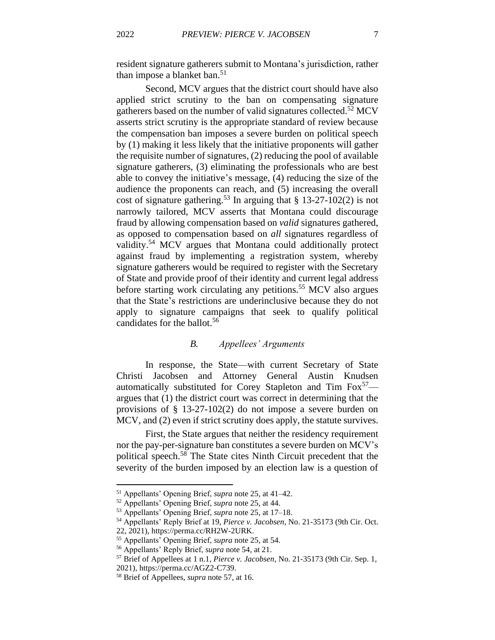resident signature gatherers submit to Montana's jurisdiction, rather than impose a blanket ban. 51

Second, MCV argues that the district court should have also applied strict scrutiny to the ban on compensating signature gatherers based on the number of valid signatures collected.<sup>52</sup> MCV asserts strict scrutiny is the appropriate standard of review because the compensation ban imposes a severe burden on political speech by (1) making it less likely that the initiative proponents will gather the requisite number of signatures, (2) reducing the pool of available signature gatherers, (3) eliminating the professionals who are best able to convey the initiative's message, (4) reducing the size of the audience the proponents can reach, and (5) increasing the overall cost of signature gathering.<sup>53</sup> In arguing that  $\S 13-27-102(2)$  is not narrowly tailored, MCV asserts that Montana could discourage fraud by allowing compensation based on *valid* signatures gathered, as opposed to compensation based on *all* signatures regardless of validity.<sup>54</sup> MCV argues that Montana could additionally protect against fraud by implementing a registration system, whereby signature gatherers would be required to register with the Secretary of State and provide proof of their identity and current legal address before starting work circulating any petitions.<sup>55</sup> MCV also argues that the State's restrictions are underinclusive because they do not apply to signature campaigns that seek to qualify political candidates for the ballot. 56

# *B. Appellees' Arguments*

In response, the State—with current Secretary of State Christi Jacobsen and Attorney General Austin Knudsen automatically substituted for Corey Stapleton and Tim  $Fox^{57}$  argues that (1) the district court was correct in determining that the provisions of § 13-27-102(2) do not impose a severe burden on MCV, and (2) even if strict scrutiny does apply, the statute survives.

First, the State argues that neither the residency requirement nor the pay-per-signature ban constitutes a severe burden on MCV's political speech.<sup>58</sup> The State cites Ninth Circuit precedent that the severity of the burden imposed by an election law is a question of

<sup>51</sup> Appellants' Opening Brief, *supra* note 25, at 41–42.

<sup>52</sup> Appellants' Opening Brief, *supra* note 25, at 44.

<sup>53</sup> Appellants' Opening Brief, *supra* note 25, at 17–18.

<sup>54</sup> Appellants' Reply Brief at 19, *Pierce v. Jacobsen*, No. 21-35173 (9th Cir. Oct.

<sup>22, 2021),</sup> https://perma.cc/RH2W-2URK.

<sup>55</sup> Appellants' Opening Brief, *supra* note 25, at 54.

<sup>56</sup> Appellants' Reply Brief, *supra* note 54, at 21.

<sup>57</sup> Brief of Appellees at 1 n.1, *Pierce v. Jacobsen*, No. 21-35173 (9th Cir. Sep. 1, 2021), https://perma.cc/AGZ2-C739.

<sup>58</sup> Brief of Appellees, *supra* note 57, at 16.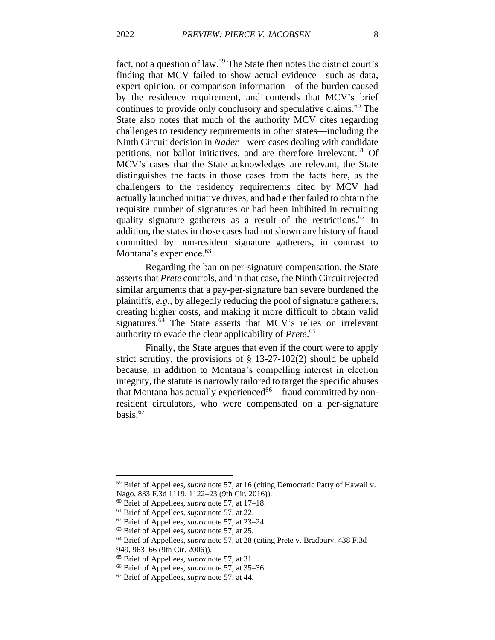fact, not a question of law.<sup>59</sup> The State then notes the district court's finding that MCV failed to show actual evidence—such as data, expert opinion, or comparison information—of the burden caused by the residency requirement, and contends that MCV's brief continues to provide only conclusory and speculative claims.<sup>60</sup> The State also notes that much of the authority MCV cites regarding challenges to residency requirements in other states—including the Ninth Circuit decision in *Nader—*were cases dealing with candidate petitions, not ballot initiatives, and are therefore irrelevant.<sup>61</sup> Of MCV's cases that the State acknowledges are relevant, the State distinguishes the facts in those cases from the facts here, as the challengers to the residency requirements cited by MCV had actually launched initiative drives, and had either failed to obtain the requisite number of signatures or had been inhibited in recruiting quality signature gatherers as a result of the restrictions.<sup>62</sup> In addition, the states in those cases had not shown any history of fraud committed by non-resident signature gatherers, in contrast to Montana's experience.<sup>63</sup>

Regarding the ban on per-signature compensation, the State asserts that *Prete* controls, and in that case, the Ninth Circuit rejected similar arguments that a pay-per-signature ban severe burdened the plaintiffs, *e.g.*, by allegedly reducing the pool of signature gatherers, creating higher costs, and making it more difficult to obtain valid signatures.<sup>64</sup> The State asserts that MCV's relies on irrelevant authority to evade the clear applicability of *Prete*. 65

Finally, the State argues that even if the court were to apply strict scrutiny, the provisions of § 13-27-102(2) should be upheld because, in addition to Montana's compelling interest in election integrity, the statute is narrowly tailored to target the specific abuses that Montana has actually experienced<sup>66</sup>—fraud committed by nonresident circulators, who were compensated on a per-signature basis. 67

<sup>59</sup> Brief of Appellees, *supra* note 57, at 16 (citing Democratic Party of Hawaii v.

Nago, 833 F.3d 1119, 1122–23 (9th Cir. 2016)).

<sup>60</sup> Brief of Appellees, *supra* note 57, at 17–18.

<sup>61</sup> Brief of Appellees, *supra* note 57, at 22.

<sup>62</sup> Brief of Appellees, *supra* note 57, at 23–24.

<sup>63</sup> Brief of Appellees, *supra* note 57, at 25.

<sup>64</sup> Brief of Appellees, *supra* note 57, at 28 (citing Prete v. Bradbury, 438 F.3d 949, 963–66 (9th Cir. 2006)).

<sup>65</sup> Brief of Appellees, *supra* note 57, at 31.

<sup>66</sup> Brief of Appellees, *supra* note 57, at 35–36.

<sup>67</sup> Brief of Appellees, *supra* note 57, at 44.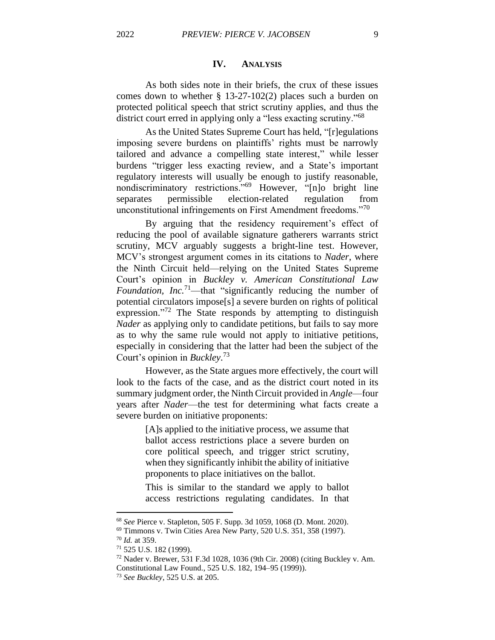# **IV. ANALYSIS**

As both sides note in their briefs, the crux of these issues comes down to whether § 13-27-102(2) places such a burden on protected political speech that strict scrutiny applies, and thus the district court erred in applying only a "less exacting scrutiny."<sup>68</sup>

As the United States Supreme Court has held, "[r]egulations imposing severe burdens on plaintiffs' rights must be narrowly tailored and advance a compelling state interest," while lesser burdens "trigger less exacting review, and a State's important regulatory interests will usually be enough to justify reasonable, nondiscriminatory restrictions."<sup>69</sup> However, "[n]o bright line separates permissible election-related regulation from unconstitutional infringements on First Amendment freedoms."<sup>70</sup>

By arguing that the residency requirement's effect of reducing the pool of available signature gatherers warrants strict scrutiny, MCV arguably suggests a bright-line test. However, MCV's strongest argument comes in its citations to *Nader*, where the Ninth Circuit held—relying on the United States Supreme Court's opinion in *Buckley v. American Constitutional Law Foundation, Inc.*<sup>71</sup>—that "significantly reducing the number of potential circulators impose[s] a severe burden on rights of political expression."<sup>72</sup> The State responds by attempting to distinguish *Nader* as applying only to candidate petitions, but fails to say more as to why the same rule would not apply to initiative petitions, especially in considering that the latter had been the subject of the Court's opinion in *Buckley*. 73

However, as the State argues more effectively, the court will look to the facts of the case, and as the district court noted in its summary judgment order, the Ninth Circuit provided in *Angle*—four years after *Nader*—the test for determining what facts create a severe burden on initiative proponents:

> [A]s applied to the initiative process, we assume that ballot access restrictions place a severe burden on core political speech, and trigger strict scrutiny, when they significantly inhibit the ability of initiative proponents to place initiatives on the ballot.

> This is similar to the standard we apply to ballot access restrictions regulating candidates. In that

<sup>68</sup> *See* Pierce v. Stapleton, 505 F. Supp. 3d 1059, 1068 (D. Mont. 2020).

<sup>69</sup> Timmons v. Twin Cities Area New Party, 520 U.S. 351, 358 (1997).

<sup>70</sup> *Id.* at 359.

<sup>71</sup> 525 U.S. 182 (1999).

<sup>72</sup> Nader v. Brewer, 531 F.3d 1028, 1036 (9th Cir. 2008) (citing Buckley v. Am. Constitutional Law Found., 525 U.S. 182, 194–95 (1999)).

<sup>73</sup> *See Buckley*, 525 U.S. at 205.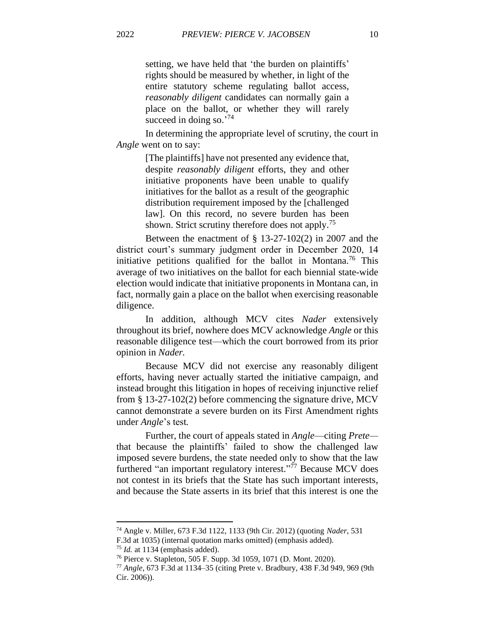setting, we have held that 'the burden on plaintiffs' rights should be measured by whether, in light of the entire statutory scheme regulating ballot access, *reasonably diligent* candidates can normally gain a place on the ballot, or whether they will rarely succeed in doing so.'<sup>74</sup>

In determining the appropriate level of scrutiny, the court in *Angle* went on to say:

> [The plaintiffs] have not presented any evidence that, despite *reasonably diligent* efforts, they and other initiative proponents have been unable to qualify initiatives for the ballot as a result of the geographic distribution requirement imposed by the [challenged law]. On this record, no severe burden has been shown. Strict scrutiny therefore does not apply.<sup>75</sup>

Between the enactment of § 13-27-102(2) in 2007 and the district court's summary judgment order in December 2020, 14 initiative petitions qualified for the ballot in Montana.<sup>76</sup> This average of two initiatives on the ballot for each biennial state-wide election would indicate that initiative proponents in Montana can, in fact, normally gain a place on the ballot when exercising reasonable diligence.

In addition, although MCV cites *Nader* extensively throughout its brief, nowhere does MCV acknowledge *Angle* or this reasonable diligence test—which the court borrowed from its prior opinion in *Nader.*

Because MCV did not exercise any reasonably diligent efforts, having never actually started the initiative campaign, and instead brought this litigation in hopes of receiving injunctive relief from § 13-27-102(2) before commencing the signature drive, MCV cannot demonstrate a severe burden on its First Amendment rights under *Angle*'s test*.* 

Further, the court of appeals stated in *Angle*—citing *Prete* that because the plaintiffs' failed to show the challenged law imposed severe burdens, the state needed only to show that the law furthered "an important regulatory interest."<sup>77</sup> Because MCV does not contest in its briefs that the State has such important interests, and because the State asserts in its brief that this interest is one the

<sup>74</sup> Angle v. Miller, 673 F.3d 1122, 1133 (9th Cir. 2012) (quoting *Nader*, 531 F.3d at 1035) (internal quotation marks omitted) (emphasis added).

<sup>75</sup> *Id.* at 1134 (emphasis added).

<sup>76</sup> Pierce v. Stapleton, 505 F. Supp. 3d 1059, 1071 (D. Mont. 2020).

<sup>77</sup> *Angle*, 673 F.3d at 1134–35 (citing Prete v. Bradbury, 438 F.3d 949, 969 (9th Cir. 2006)).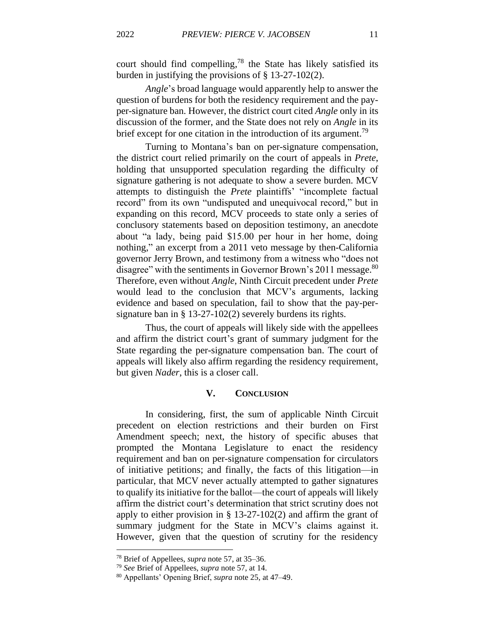court should find compelling, <sup>78</sup> the State has likely satisfied its burden in justifying the provisions of § 13-27-102(2).

*Angle*'s broad language would apparently help to answer the question of burdens for both the residency requirement and the payper-signature ban. However, the district court cited *Angle* only in its discussion of the former, and the State does not rely on *Angle* in its brief except for one citation in the introduction of its argument.<sup>79</sup>

Turning to Montana's ban on per-signature compensation, the district court relied primarily on the court of appeals in *Prete*, holding that unsupported speculation regarding the difficulty of signature gathering is not adequate to show a severe burden. MCV attempts to distinguish the *Prete* plaintiffs' "incomplete factual record" from its own "undisputed and unequivocal record," but in expanding on this record, MCV proceeds to state only a series of conclusory statements based on deposition testimony, an anecdote about "a lady, being paid \$15.00 per hour in her home, doing nothing," an excerpt from a 2011 veto message by then-California governor Jerry Brown, and testimony from a witness who "does not disagree" with the sentiments in Governor Brown's 2011 message.<sup>80</sup> Therefore, even without *Angle*, Ninth Circuit precedent under *Prete*  would lead to the conclusion that MCV's arguments, lacking evidence and based on speculation, fail to show that the pay-persignature ban in § 13-27-102(2) severely burdens its rights.

Thus, the court of appeals will likely side with the appellees and affirm the district court's grant of summary judgment for the State regarding the per-signature compensation ban. The court of appeals will likely also affirm regarding the residency requirement, but given *Nader*, this is a closer call.

# **V. CONCLUSION**

In considering, first, the sum of applicable Ninth Circuit precedent on election restrictions and their burden on First Amendment speech; next, the history of specific abuses that prompted the Montana Legislature to enact the residency requirement and ban on per-signature compensation for circulators of initiative petitions; and finally, the facts of this litigation—in particular, that MCV never actually attempted to gather signatures to qualify its initiative for the ballot—the court of appeals will likely affirm the district court's determination that strict scrutiny does not apply to either provision in  $\S$  13-27-102(2) and affirm the grant of summary judgment for the State in MCV's claims against it. However, given that the question of scrutiny for the residency

<sup>78</sup> Brief of Appellees, *supra* note 57, at 35–36.

<sup>79</sup> *See* Brief of Appellees, *supra* note 57, at 14.

<sup>80</sup> Appellants' Opening Brief, *supra* note 25, at 47–49.